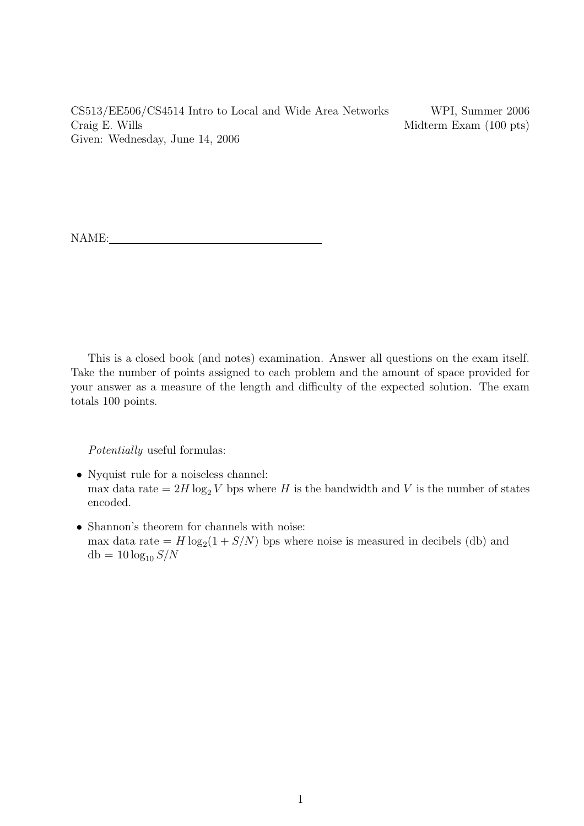CS513/EE506/CS4514 Intro to Local and Wide Area Networks WPI, Summer 2006 Craig E. Wills Midterm Exam (100 pts) Given: Wednesday, June 14, 2006

NAME:

This is a closed book (and notes) examination. Answer all questions on the exam itself. Take the number of points assigned to each problem and the amount of space provided for your answer as a measure of the length and difficulty of the expected solution. The exam totals 100 points.

Potentially useful formulas:

- Nyquist rule for a noiseless channel: max data rate =  $2H \log_2 V$  bps where H is the bandwidth and V is the number of states encoded.
- Shannon's theorem for channels with noise: max data rate  $= H \log_2(1 + S/N)$  bps where noise is measured in decibels (db) and  $db = 10 \log_{10} S/N$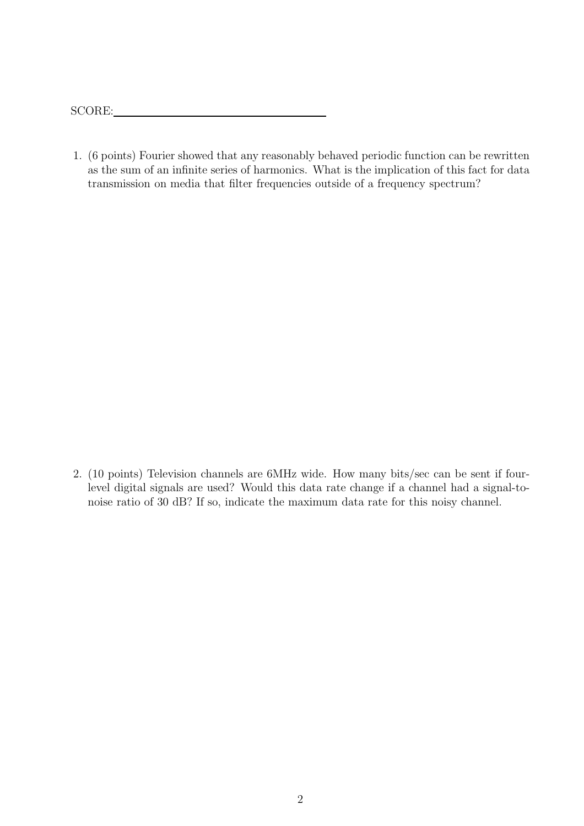SCORE:

1. (6 points) Fourier showed that any reasonably behaved periodic function can be rewritten as the sum of an infinite series of harmonics. What is the implication of this fact for data transmission on media that filter frequencies outside of a frequency spectrum?

2. (10 points) Television channels are 6MHz wide. How many bits/sec can be sent if fourlevel digital signals are used? Would this data rate change if a channel had a signal-tonoise ratio of 30 dB? If so, indicate the maximum data rate for this noisy channel.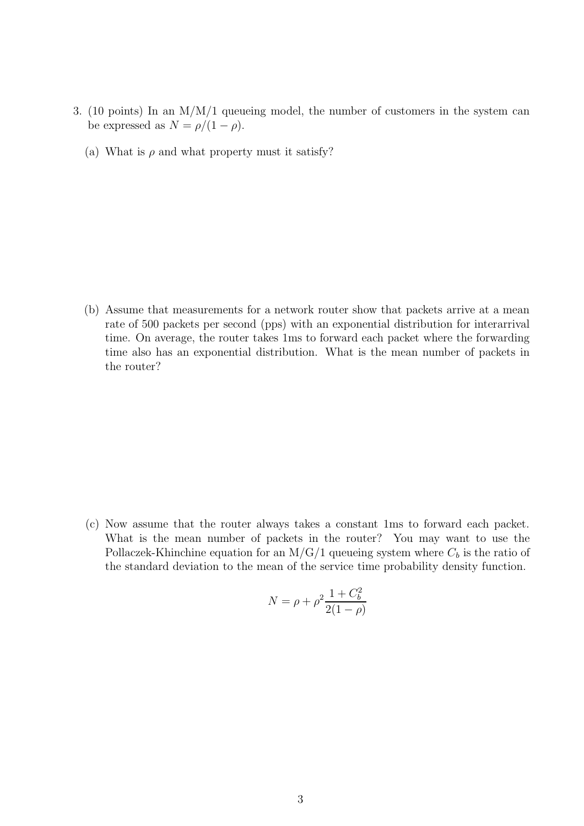- 3. (10 points) In an M/M/1 queueing model, the number of customers in the system can be expressed as  $N = \rho/(1 - \rho)$ .
	- (a) What is  $\rho$  and what property must it satisfy?

(b) Assume that measurements for a network router show that packets arrive at a mean rate of 500 packets per second (pps) with an exponential distribution for interarrival time. On average, the router takes 1ms to forward each packet where the forwarding time also has an exponential distribution. What is the mean number of packets in the router?

(c) Now assume that the router always takes a constant 1ms to forward each packet. What is the mean number of packets in the router? You may want to use the Pollaczek-Khinchine equation for an M/G/1 queueing system where  $C_b$  is the ratio of the standard deviation to the mean of the service time probability density function.

$$
N = \rho + \rho^2 \frac{1 + C_b^2}{2(1 - \rho)}
$$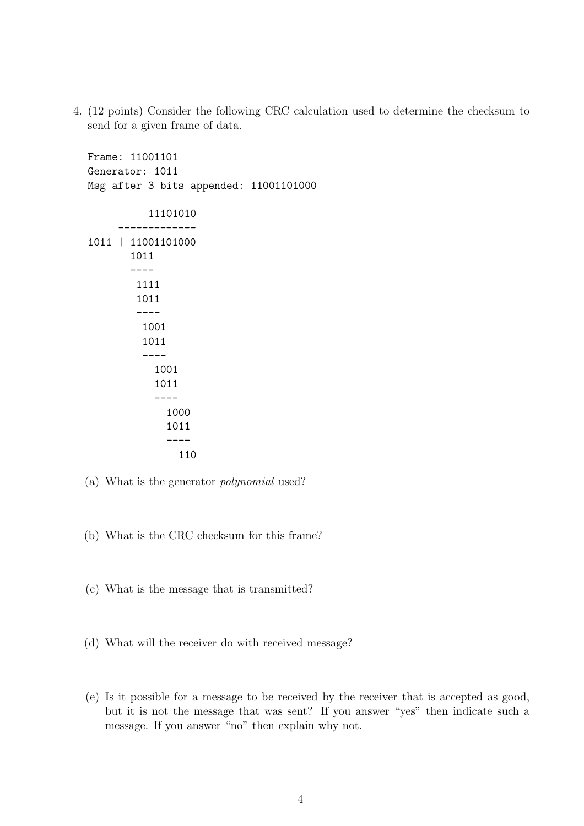4. (12 points) Consider the following CRC calculation used to determine the checksum to send for a given frame of data.

Frame: 11001101 Generator: 1011 Msg after 3 bits appended: 11001101000 11101010 ------------- 1011 | 11001101000 1011 ---- 1111 1011 ---- 1001 1011 ---- 1001 1011 ---- 1000 1011 ---- 110

- (a) What is the generator polynomial used?
- (b) What is the CRC checksum for this frame?
- (c) What is the message that is transmitted?
- (d) What will the receiver do with received message?
- (e) Is it possible for a message to be received by the receiver that is accepted as good, but it is not the message that was sent? If you answer "yes" then indicate such a message. If you answer "no" then explain why not.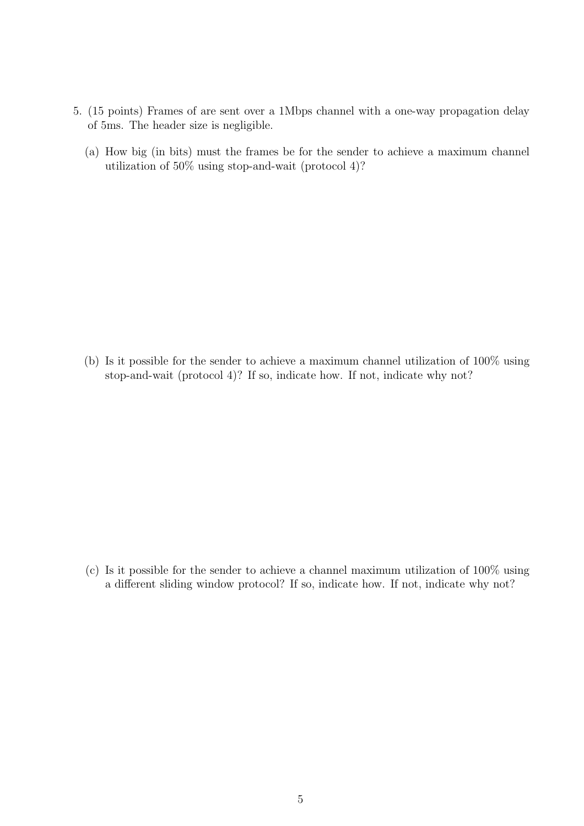- 5. (15 points) Frames of are sent over a 1Mbps channel with a one-way propagation delay of 5ms. The header size is negligible.
	- (a) How big (in bits) must the frames be for the sender to achieve a maximum channel utilization of 50% using stop-and-wait (protocol 4)?

(b) Is it possible for the sender to achieve a maximum channel utilization of 100% using stop-and-wait (protocol 4)? If so, indicate how. If not, indicate why not?

(c) Is it possible for the sender to achieve a channel maximum utilization of 100% using a different sliding window protocol? If so, indicate how. If not, indicate why not?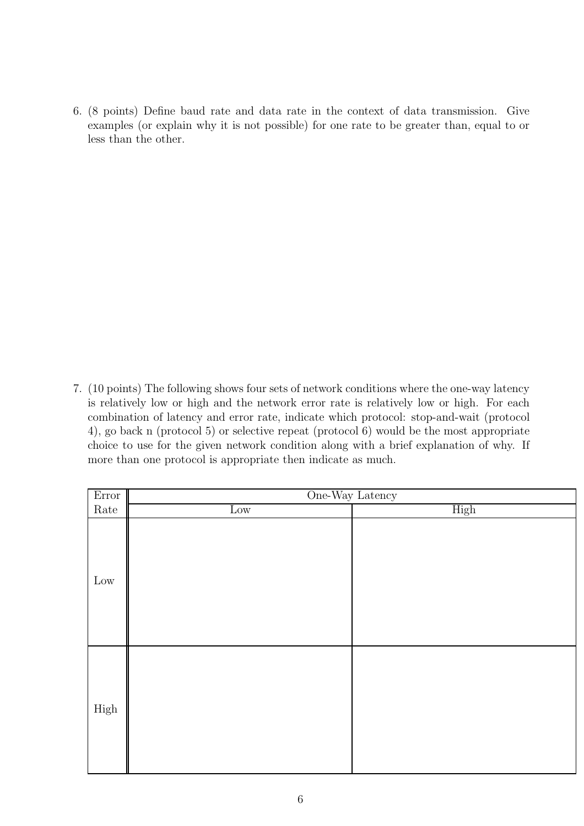6. (8 points) Define baud rate and data rate in the context of data transmission. Give examples (or explain why it is not possible) for one rate to be greater than, equal to or less than the other.

7. (10 points) The following shows four sets of network conditions where the one-way latency is relatively low or high and the network error rate is relatively low or high. For each combination of latency and error rate, indicate which protocol: stop-and-wait (protocol 4), go back n (protocol 5) or selective repeat (protocol 6) would be the most appropriate choice to use for the given network condition along with a brief explanation of why. If more than one protocol is appropriate then indicate as much.

| Error                                                                               | One-Way Latency |      |
|-------------------------------------------------------------------------------------|-----------------|------|
| $\operatorname*{Rate}% \left( X\right) \equiv\operatorname*{Rate}\left( X\right) ,$ | Low             | High |
| $\operatorname{Low}$                                                                |                 |      |
| High                                                                                |                 |      |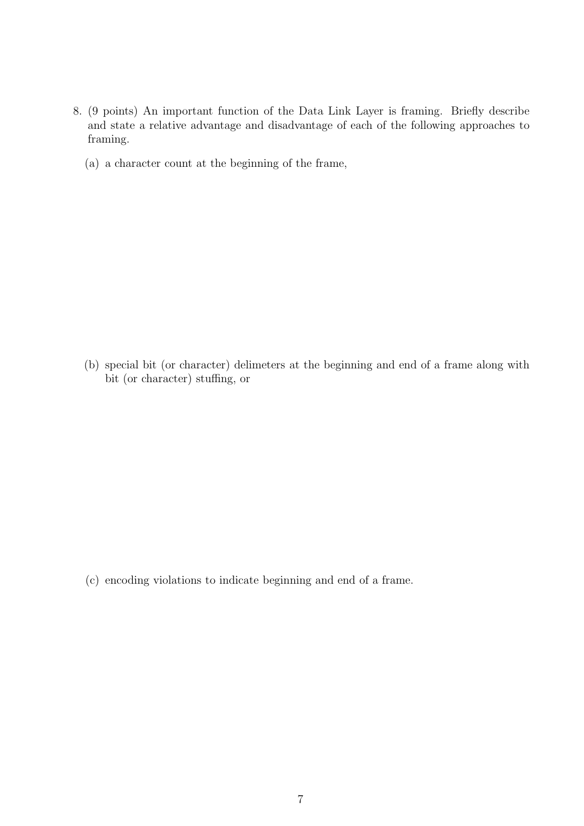- 8. (9 points) An important function of the Data Link Layer is framing. Briefly describe and state a relative advantage and disadvantage of each of the following approaches to framing.
	- (a) a character count at the beginning of the frame,

(b) special bit (or character) delimeters at the beginning and end of a frame along with bit (or character) stuffing, or

(c) encoding violations to indicate beginning and end of a frame.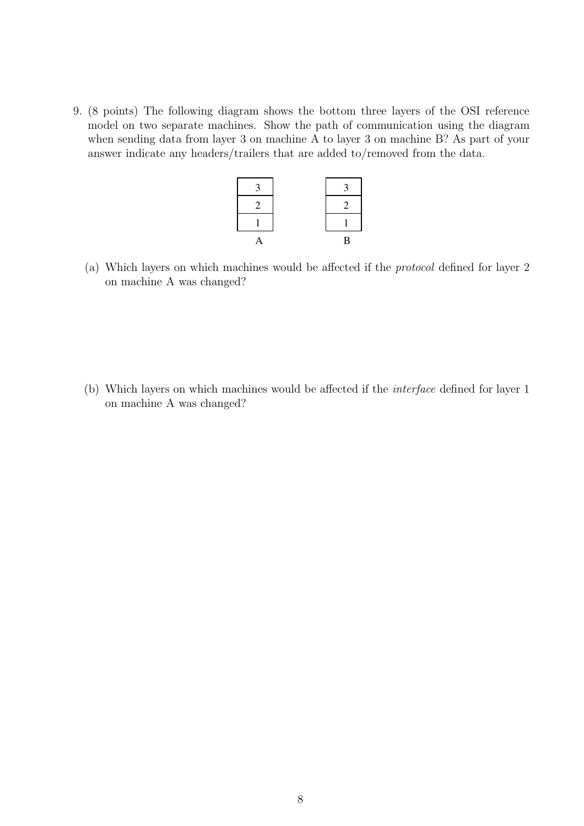9. (8 points) The following diagram shows the bottom three layers of the OSI reference model on two separate machines. Show the path of communication using the diagram when sending data from layer 3 on machine A to layer 3 on machine B? As part of your answer indicate any headers/trailers that are added to/removed from the data.



(a) Which layers on which machines would be affected if the protocol defined for layer 2 on machine A was changed?

(b) Which layers on which machines would be affected if the interface defined for layer 1 on machine A was changed?